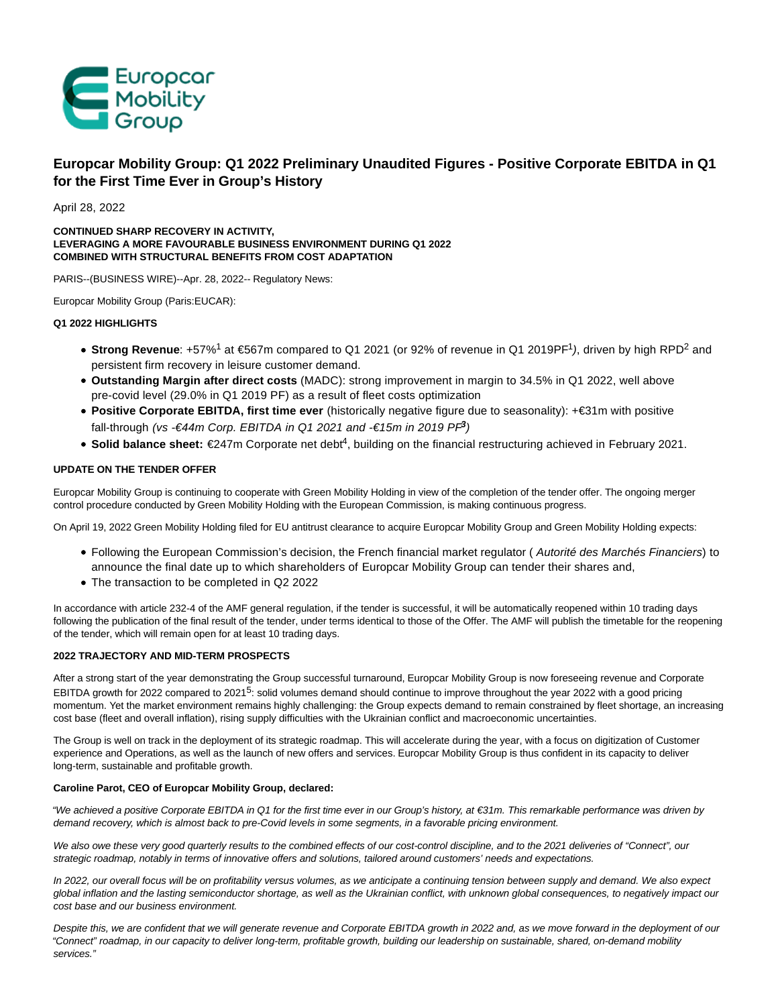

# **Europcar Mobility Group: Q1 2022 Preliminary Unaudited Figures - Positive Corporate EBITDA in Q1 for the First Time Ever in Group's History**

April 28, 2022

# **CONTINUED SHARP RECOVERY IN ACTIVITY, LEVERAGING A MORE FAVOURABLE BUSINESS ENVIRONMENT DURING Q1 2022 COMBINED WITH STRUCTURAL BENEFITS FROM COST ADAPTATION**

PARIS--(BUSINESS WIRE)--Apr. 28, 2022-- Regulatory News:

Europcar Mobility Group (Paris:EUCAR):

# **Q1 2022 HIGHLIGHTS**

- Strong Revenue: +57%<sup>1</sup> at €567m compared to Q1 2021 (or 92% of revenue in Q1 2019PF<sup>1</sup>), driven by high RPD<sup>2</sup> and persistent firm recovery in leisure customer demand.
- **Outstanding Margin after direct costs** (MADC): strong improvement in margin to 34.5% in Q1 2022, well above pre-covid level (29.0% in Q1 2019 PF) as a result of fleet costs optimization
- **Positive Corporate EBITDA, first time ever** (historically negative figure due to seasonality): +€31m with positive fall-through (vs -€44m Corp. EBITDA in Q1 2021 and -€15m in 2019 Pi<sup>9</sup>)
- Solid balance sheet: €247m Corporate net deb<sup>4</sup>, building on the financial restructuring achieved in February 2021.

# **UPDATE ON THE TENDER OFFER**

Europcar Mobility Group is continuing to cooperate with Green Mobility Holding in view of the completion of the tender offer. The ongoing merger control procedure conducted by Green Mobility Holding with the European Commission, is making continuous progress.

On April 19, 2022 Green Mobility Holding filed for EU antitrust clearance to acquire Europcar Mobility Group and Green Mobility Holding expects:

- Following the European Commission's decision, the French financial market regulator (Autorité des Marchés Financiers) to announce the final date up to which shareholders of Europcar Mobility Group can tender their shares and,
- The transaction to be completed in Q2 2022

In accordance with article 232-4 of the AMF general regulation, if the tender is successful, it will be automatically reopened within 10 trading days following the publication of the final result of the tender, under terms identical to those of the Offer. The AMF will publish the timetable for the reopening of the tender, which will remain open for at least 10 trading days.

# **2022 TRAJECTORY AND MID-TERM PROSPECTS**

After a strong start of the year demonstrating the Group successful turnaround, Europcar Mobility Group is now foreseeing revenue and Corporate EBITDA growth for 2022 compared to 2021<sup>5</sup>: solid volumes demand should continue to improve throughout the year 2022 with a good pricing momentum. Yet the market environment remains highly challenging: the Group expects demand to remain constrained by fleet shortage, an increasing cost base (fleet and overall inflation), rising supply difficulties with the Ukrainian conflict and macroeconomic uncertainties.

The Group is well on track in the deployment of its strategic roadmap. This will accelerate during the year, with a focus on digitization of Customer experience and Operations, as well as the launch of new offers and services. Europcar Mobility Group is thus confident in its capacity to deliver long-term, sustainable and profitable growth.

# **Caroline Parot, CEO of Europcar Mobility Group, declared:**

"We achieved a positive Corporate EBITDA in Q1 for the first time ever in our Group's history, at €31m. This remarkable performance was driven by demand recovery, which is almost back to pre-Covid levels in some segments, in a favorable pricing environment.

We also owe these very good quarterly results to the combined effects of our cost-control discipline, and to the 2021 deliveries of "Connect", our strategic roadmap, notably in terms of innovative offers and solutions, tailored around customers' needs and expectations.

In 2022, our overall focus will be on profitability versus volumes, as we anticipate a continuing tension between supply and demand. We also expect global inflation and the lasting semiconductor shortage, as well as the Ukrainian conflict, with unknown global consequences, to negatively impact our cost base and our business environment.

Despite this, we are confident that we will generate revenue and Corporate EBITDA growth in 2022 and, as we move forward in the deployment of our "Connect" roadmap, in our capacity to deliver long-term, profitable growth, building our leadership on sustainable, shared, on-demand mobility services."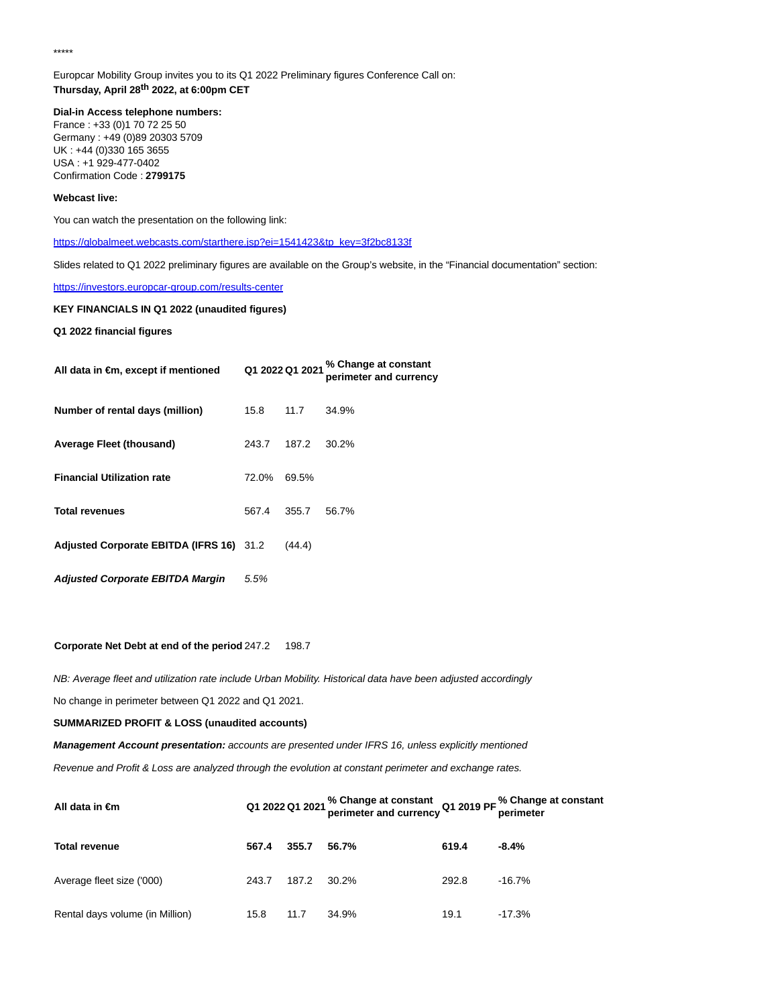\*\*\*\*\*

Europcar Mobility Group invites you to its Q1 2022 Preliminary figures Conference Call on: **Thursday, April 28th 2022, at 6:00pm CET**

**Dial-in Access telephone numbers:** France : +33 (0)1 70 72 25 50 Germany : +49 (0)89 20303 5709 UK : +44 (0)330 165 3655 USA : +1 929-477-0402 Confirmation Code : **2799175**

### **Webcast live:**

You can watch the presentation on the following link:

[https://globalmeet.webcasts.com/starthere.jsp?ei=1541423&tp\\_key=3f2bc8133f](https://cts.businesswire.com/ct/CT?id=smartlink&url=https%3A%2F%2Fglobalmeet.webcasts.com%2Fstarthere.jsp%3Fei%3D1541423%26tp_key%3D3f2bc8133f&esheet=52701024&newsitemid=20220428006014&lan=en-US&anchor=https%3A%2F%2Fglobalmeet.webcasts.com%2Fstarthere.jsp%3Fei%3D1541423%26amp%3Btp_key%3D3f2bc8133f&index=1&md5=98d781ec8f74774d44345db4768ada64)

Slides related to Q1 2022 preliminary figures are available on the Group's website, in the "Financial documentation" section:

# [https://investors.europcar-group.com/results-center](https://cts.businesswire.com/ct/CT?id=smartlink&url=https%3A%2F%2Finvestors.europcar-group.com%2Fresults-center&esheet=52701024&newsitemid=20220428006014&lan=en-US&anchor=https%3A%2F%2Finvestors.europcar-group.com%2Fresults-center&index=2&md5=18ce4a2609c40015a8716aa1984f0d9f)

# **KEY FINANCIALS IN Q1 2022 (unaudited figures)**

**Q1 2022 financial figures**

| All data in $\epsilon$ m, except if mentioned |       | Q1 2022 Q1 2021 | % Change at constant<br>perimeter and currency |
|-----------------------------------------------|-------|-----------------|------------------------------------------------|
| Number of rental days (million)               | 15.8  | 11.7            | 34.9%                                          |
| <b>Average Fleet (thousand)</b>               | 243.7 | 187.2           | 30.2%                                          |
| <b>Financial Utilization rate</b>             | 72.0% | 69.5%           |                                                |
| <b>Total revenues</b>                         | 567.4 | 355.7           | 56.7%                                          |
| Adjusted Corporate EBITDA (IFRS 16) 31.2      |       | (44.4)          |                                                |
| <b>Adjusted Corporate EBITDA Margin</b>       | 5.5%  |                 |                                                |

#### **Corporate Net Debt at end of the period** 247.2 198.7

NB: Average fleet and utilization rate include Urban Mobility. Historical data have been adjusted accordingly

No change in perimeter between Q1 2022 and Q1 2021.

## **SUMMARIZED PROFIT & LOSS (unaudited accounts)**

**Management Account presentation:** accounts are presented under IFRS 16, unless explicitly mentioned

Revenue and Profit & Loss are analyzed through the evolution at constant perimeter and exchange rates.

| All data in $\epsilon$ m        |       |       | Q1 2022 Q1 2021 % Change at constant Q1 2019 PF % Change at constant<br>perimeter and currency Q1 2019 PF perimeter |       |           |
|---------------------------------|-------|-------|---------------------------------------------------------------------------------------------------------------------|-------|-----------|
| <b>Total revenue</b>            | 567.4 | 355.7 | 56.7%                                                                                                               | 619.4 | $-8.4\%$  |
| Average fleet size ('000)       | 243.7 | 187.2 | 30.2%                                                                                                               | 292.8 | $-16.7\%$ |
| Rental days volume (in Million) | 15.8  | 11.7  | 34.9%                                                                                                               | 19.1  | $-17.3%$  |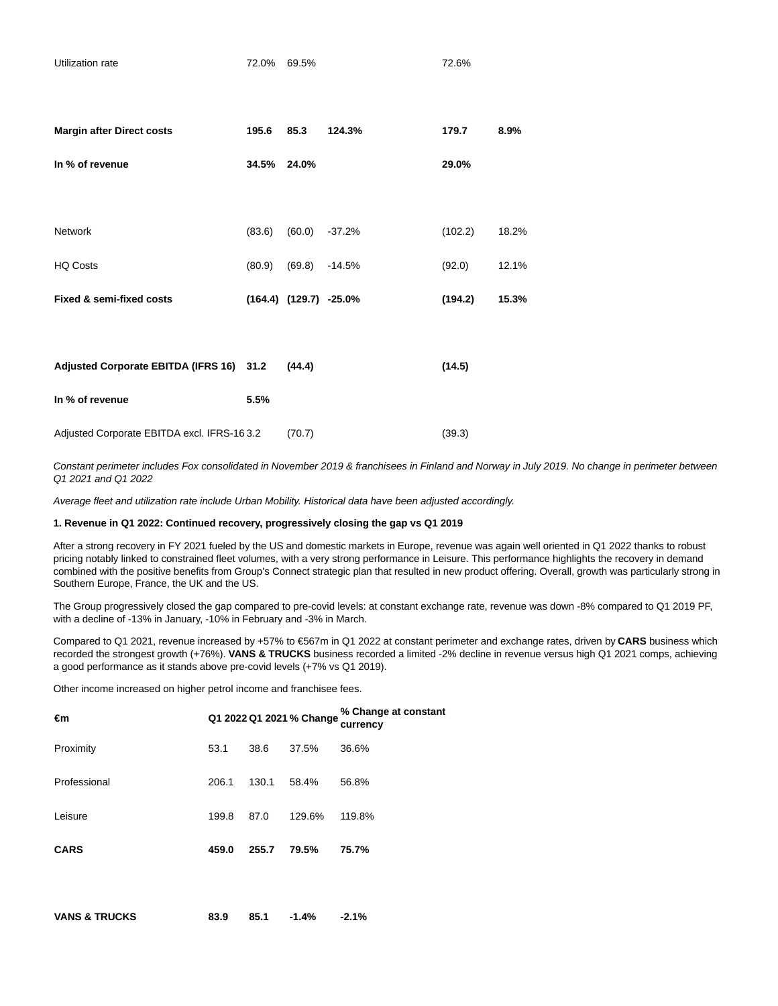| Utilization rate                           | 72.0% 69.5% |                            |                 | 72.6%   |       |
|--------------------------------------------|-------------|----------------------------|-----------------|---------|-------|
| <b>Margin after Direct costs</b>           | 195.6       | 85.3                       | 124.3%          | 179.7   | 8.9%  |
| In % of revenue                            | 34.5% 24.0% |                            |                 | 29.0%   |       |
|                                            |             |                            |                 |         |       |
| <b>Network</b>                             | (83.6)      |                            | $(60.0)$ -37.2% | (102.2) | 18.2% |
| <b>HQ Costs</b>                            | (80.9)      | (69.8)                     | $-14.5%$        | (92.0)  | 12.1% |
| Fixed & semi-fixed costs                   |             | $(164.4)$ $(129.7)$ -25.0% |                 | (194.2) | 15.3% |
|                                            |             |                            |                 |         |       |
| Adjusted Corporate EBITDA (IFRS 16) 31.2   |             | (44.4)                     |                 | (14.5)  |       |
| In % of revenue                            | 5.5%        |                            |                 |         |       |
| Adjusted Corporate EBITDA excl. IFRS-163.2 |             | (70.7)                     |                 | (39.3)  |       |

Constant perimeter includes Fox consolidated in November 2019 & franchisees in Finland and Norway in July 2019. No change in perimeter between Q1 2021 and Q1 2022

Average fleet and utilization rate include Urban Mobility. Historical data have been adjusted accordingly.

# **1. Revenue in Q1 2022: Continued recovery, progressively closing the gap vs Q1 2019**

After a strong recovery in FY 2021 fueled by the US and domestic markets in Europe, revenue was again well oriented in Q1 2022 thanks to robust pricing notably linked to constrained fleet volumes, with a very strong performance in Leisure. This performance highlights the recovery in demand combined with the positive benefits from Group's Connect strategic plan that resulted in new product offering. Overall, growth was particularly strong in Southern Europe, France, the UK and the US.

The Group progressively closed the gap compared to pre-covid levels: at constant exchange rate, revenue was down -8% compared to Q1 2019 PF, with a decline of -13% in January, -10% in February and -3% in March.

Compared to Q1 2021, revenue increased by +57% to €567m in Q1 2022 at constant perimeter and exchange rates, driven by **CARS** business which recorded the strongest growth (+76%). **VANS & TRUCKS** business recorded a limited -2% decline in revenue versus high Q1 2021 comps, achieving a good performance as it stands above pre-covid levels (+7% vs Q1 2019).

Other income increased on higher petrol income and franchisee fees.

| €m                       |       |       | Q1 2022 Q1 2021 % Change | % Change at constant<br>currency |
|--------------------------|-------|-------|--------------------------|----------------------------------|
| Proximity                | 53.1  | 38.6  | 37.5%                    | 36.6%                            |
| Professional             | 206.1 | 130.1 | 58.4%                    | 56.8%                            |
| Leisure                  | 199.8 | 87.0  | 129.6%                   | 119.8%                           |
| <b>CARS</b>              | 459.0 | 255.7 | 79.5%                    | 75.7%                            |
|                          |       |       |                          |                                  |
| <b>VANS &amp; TRUCKS</b> | 83.9  | 85.1  | $-1.4%$                  | $-2.1%$                          |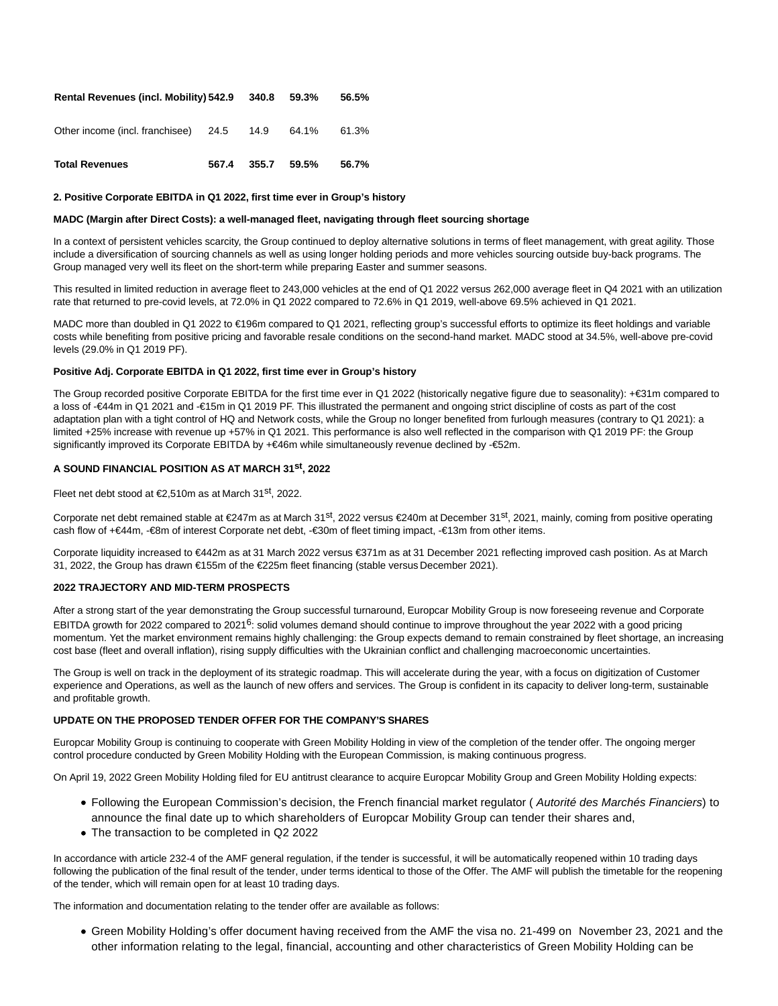| Rental Revenues (incl. Mobility) 542.9 |       | 340.8  | 59.3%         | 56.5% |
|----------------------------------------|-------|--------|---------------|-------|
| Other income (incl. franchisee) 24.5   |       | - 14.9 | 64.1%         | 61.3% |
| <b>Total Revenues</b>                  | 567.4 |        | $355.7$ 59.5% | 56.7% |

### **2. Positive Corporate EBITDA in Q1 2022, first time ever in Group's history**

#### **MADC (Margin after Direct Costs): a well-managed fleet, navigating through fleet sourcing shortage**

In a context of persistent vehicles scarcity, the Group continued to deploy alternative solutions in terms of fleet management, with great agility. Those include a diversification of sourcing channels as well as using longer holding periods and more vehicles sourcing outside buy-back programs. The Group managed very well its fleet on the short-term while preparing Easter and summer seasons.

This resulted in limited reduction in average fleet to 243,000 vehicles at the end of Q1 2022 versus 262,000 average fleet in Q4 2021 with an utilization rate that returned to pre-covid levels, at 72.0% in Q1 2022 compared to 72.6% in Q1 2019, well-above 69.5% achieved in Q1 2021.

MADC more than doubled in Q1 2022 to €196m compared to Q1 2021, reflecting group's successful efforts to optimize its fleet holdings and variable costs while benefiting from positive pricing and favorable resale conditions on the second-hand market. MADC stood at 34.5%, well-above pre-covid levels (29.0% in Q1 2019 PF).

#### **Positive Adj. Corporate EBITDA in Q1 2022, first time ever in Group's history**

The Group recorded positive Corporate EBITDA for the first time ever in Q1 2022 (historically negative figure due to seasonality): +€31m compared to a loss of -€44m in Q1 2021 and -€15m in Q1 2019 PF. This illustrated the permanent and ongoing strict discipline of costs as part of the cost adaptation plan with a tight control of HQ and Network costs, while the Group no longer benefited from furlough measures (contrary to Q1 2021): a limited +25% increase with revenue up +57% in Q1 2021. This performance is also well reflected in the comparison with Q1 2019 PF: the Group significantly improved its Corporate EBITDA by +€46m while simultaneously revenue declined by -€52m.

# **A SOUND FINANCIAL POSITION AS AT MARCH 31st, 2022**

Fleet net debt stood at €2,510m as at March 31st, 2022.

Corporate net debt remained stable at €247m as at March 31st, 2022 versus €240m at December 31st, 2021, mainly, coming from positive operating cash flow of +€44m, -€8m of interest Corporate net debt, -€30m of fleet timing impact, -€13m from other items.

Corporate liquidity increased to €442m as at 31 March 2022 versus €371m as at 31 December 2021 reflecting improved cash position. As at March 31, 2022, the Group has drawn €155m of the €225m fleet financing (stable versus December 2021).

# **2022 TRAJECTORY AND MID-TERM PROSPECTS**

After a strong start of the year demonstrating the Group successful turnaround, Europcar Mobility Group is now foreseeing revenue and Corporate EBITDA growth for 2022 compared to 2021<sup>6</sup>: solid volumes demand should continue to improve throughout the year 2022 with a good pricing momentum. Yet the market environment remains highly challenging: the Group expects demand to remain constrained by fleet shortage, an increasing cost base (fleet and overall inflation), rising supply difficulties with the Ukrainian conflict and challenging macroeconomic uncertainties.

The Group is well on track in the deployment of its strategic roadmap. This will accelerate during the year, with a focus on digitization of Customer experience and Operations, as well as the launch of new offers and services. The Group is confident in its capacity to deliver long-term, sustainable and profitable growth.

### **UPDATE ON THE PROPOSED TENDER OFFER FOR THE COMPANY'S SHARES**

Europcar Mobility Group is continuing to cooperate with Green Mobility Holding in view of the completion of the tender offer. The ongoing merger control procedure conducted by Green Mobility Holding with the European Commission, is making continuous progress.

On April 19, 2022 Green Mobility Holding filed for EU antitrust clearance to acquire Europcar Mobility Group and Green Mobility Holding expects:

- Following the European Commission's decision, the French financial market regulator (Autorité des Marchés Financiers) to announce the final date up to which shareholders of Europcar Mobility Group can tender their shares and,
- The transaction to be completed in Q2 2022

In accordance with article 232-4 of the AMF general regulation, if the tender is successful, it will be automatically reopened within 10 trading days following the publication of the final result of the tender, under terms identical to those of the Offer. The AMF will publish the timetable for the reopening of the tender, which will remain open for at least 10 trading days.

The information and documentation relating to the tender offer are available as follows:

Green Mobility Holding's offer document having received from the AMF the visa no. 21-499 on November 23, 2021 and the other information relating to the legal, financial, accounting and other characteristics of Green Mobility Holding can be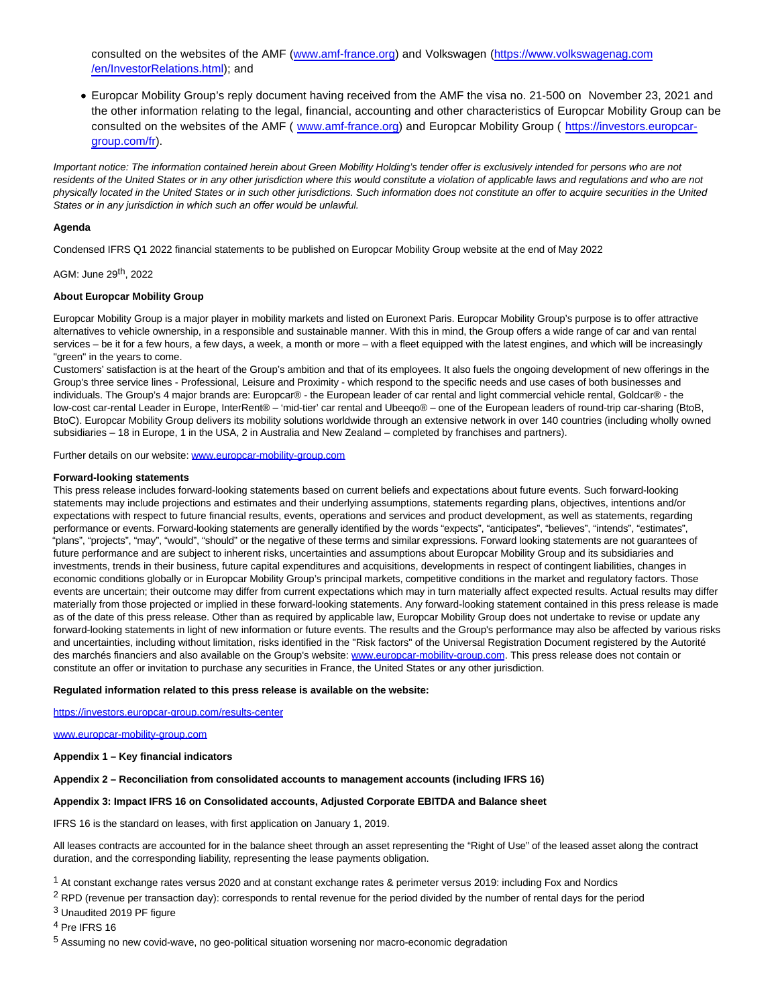consulted on the websites of the AMF [\(www.amf-france.org\)](https://cts.businesswire.com/ct/CT?id=smartlink&url=http%3A%2F%2Fwww.amf-france.org%2F&esheet=52701024&newsitemid=20220428006014&lan=en-US&anchor=www.amf-france.org&index=3&md5=8d8f4ee7e54c7cbcefc4d8477bffd797) and Volkswagen [\(https://www.volkswagenag.com](https://cts.businesswire.com/ct/CT?id=smartlink&url=https%3A%2F%2Fwww.volkswagenag.com%2Fen%2FInvestorRelations.html&esheet=52701024&newsitemid=20220428006014&lan=en-US&anchor=https%3A%2F%2Fwww.volkswagenag.com%2Fen%2FInvestorRelations.html&index=4&md5=cebc67b7b59dfa9e3456ebd27e38cb05) /en/InvestorRelations.html); and

Europcar Mobility Group's reply document having received from the AMF the visa no. 21-500 on November 23, 2021 and the other information relating to the legal, financial, accounting and other characteristics of Europcar Mobility Group can be consulted on the websites of the AMF ( [www.amf-france.org\)](https://cts.businesswire.com/ct/CT?id=smartlink&url=http%3A%2F%2Fwww.amf-france.org%2F&esheet=52701024&newsitemid=20220428006014&lan=en-US&anchor=www.amf-france.org&index=5&md5=a7511bc3d7e28b6eef50db2465feb292) and Europcar Mobility Group ( [https://investors.europcar](https://cts.businesswire.com/ct/CT?id=smartlink&url=https%3A%2F%2Finvestors.europcar-group.com%2Ffr&esheet=52701024&newsitemid=20220428006014&lan=en-US&anchor=https%3A%2F%2Finvestors.europcar-group.com%2Ffr&index=6&md5=da0d139e61d6a01724946a456e45438e)group.com/fr).

Important notice: The information contained herein about Green Mobility Holding's tender offer is exclusively intended for persons who are not residents of the United States or in any other jurisdiction where this would constitute a violation of applicable laws and regulations and who are not physically located in the United States or in such other jurisdictions. Such information does not constitute an offer to acquire securities in the United States or in any jurisdiction in which such an offer would be unlawful.

# **Agenda**

Condensed IFRS Q1 2022 financial statements to be published on Europcar Mobility Group website at the end of May 2022

# AGM: June 29th, 2022

### **About Europcar Mobility Group**

Europcar Mobility Group is a major player in mobility markets and listed on Euronext Paris. Europcar Mobility Group's purpose is to offer attractive alternatives to vehicle ownership, in a responsible and sustainable manner. With this in mind, the Group offers a wide range of car and van rental services – be it for a few hours, a few days, a week, a month or more – with a fleet equipped with the latest engines, and which will be increasingly "green" in the years to come.

Customers' satisfaction is at the heart of the Group's ambition and that of its employees. It also fuels the ongoing development of new offerings in the Group's three service lines - Professional, Leisure and Proximity - which respond to the specific needs and use cases of both businesses and individuals. The Group's 4 major brands are: Europcar® - the European leader of car rental and light commercial vehicle rental, Goldcar® - the low-cost car-rental Leader in Europe, InterRent® – 'mid-tier' car rental and Ubeeqo® – one of the European leaders of round-trip car-sharing (BtoB, BtoC). Europcar Mobility Group delivers its mobility solutions worldwide through an extensive network in over 140 countries (including wholly owned subsidiaries – 18 in Europe, 1 in the USA, 2 in Australia and New Zealand – completed by franchises and partners).

Further details on our website: [www.europcar-mobility-group.com](https://cts.businesswire.com/ct/CT?id=smartlink&url=http%3A%2F%2Fwww.europcar-mobility-group.com&esheet=52701024&newsitemid=20220428006014&lan=en-US&anchor=www.europcar-mobility-group.com&index=7&md5=333369176e22de1a42cafb8e85a95ed2)

#### **Forward-looking statements**

This press release includes forward-looking statements based on current beliefs and expectations about future events. Such forward-looking statements may include projections and estimates and their underlying assumptions, statements regarding plans, objectives, intentions and/or expectations with respect to future financial results, events, operations and services and product development, as well as statements, regarding performance or events. Forward-looking statements are generally identified by the words "expects", "anticipates", "believes", "intends", "estimates", "plans", "projects", "may", "would", "should" or the negative of these terms and similar expressions. Forward looking statements are not guarantees of future performance and are subject to inherent risks, uncertainties and assumptions about Europcar Mobility Group and its subsidiaries and investments, trends in their business, future capital expenditures and acquisitions, developments in respect of contingent liabilities, changes in economic conditions globally or in Europcar Mobility Group's principal markets, competitive conditions in the market and regulatory factors. Those events are uncertain; their outcome may differ from current expectations which may in turn materially affect expected results. Actual results may differ materially from those projected or implied in these forward-looking statements. Any forward-looking statement contained in this press release is made as of the date of this press release. Other than as required by applicable law, Europcar Mobility Group does not undertake to revise or update any forward-looking statements in light of new information or future events. The results and the Group's performance may also be affected by various risks and uncertainties, including without limitation, risks identified in the "Risk factors" of the Universal Registration Document registered by the Autorité des marchés financiers and also available on the Group's website: [www.europcar-mobility-group.com.](https://cts.businesswire.com/ct/CT?id=smartlink&url=http%3A%2F%2Fwww.europcar-mobility-group.com&esheet=52701024&newsitemid=20220428006014&lan=en-US&anchor=www.europcar-mobility-group.com&index=8&md5=19082f8dbe22ca82a59ae12ba11370ae) This press release does not contain or constitute an offer or invitation to purchase any securities in France, the United States or any other jurisdiction.

#### **Regulated information related to this press release is available on the website:**

[https://investors.europcar-group.com/results-center](https://cts.businesswire.com/ct/CT?id=smartlink&url=https%3A%2F%2Finvestors.europcar-group.com%2Fresults-center&esheet=52701024&newsitemid=20220428006014&lan=en-US&anchor=https%3A%2F%2Finvestors.europcar-group.com%2Fresults-center&index=9&md5=d71acac33e32035661dc92950da8800c)

[www.europcar-mobility-group.com](https://cts.businesswire.com/ct/CT?id=smartlink&url=http%3A%2F%2Fwww.europcar-mobility-group.com&esheet=52701024&newsitemid=20220428006014&lan=en-US&anchor=www.europcar-mobility-group.com&index=10&md5=cbc5c127f1ceeb28536b6c1b7d0519d3)

#### **Appendix 1 – Key financial indicators**

**Appendix 2 – Reconciliation from consolidated accounts to management accounts (including IFRS 16)**

#### **Appendix 3: Impact IFRS 16 on Consolidated accounts, Adjusted Corporate EBITDA and Balance sheet**

IFRS 16 is the standard on leases, with first application on January 1, 2019.

All leases contracts are accounted for in the balance sheet through an asset representing the "Right of Use" of the leased asset along the contract duration, and the corresponding liability, representing the lease payments obligation.

1 At constant exchange rates versus 2020 and at constant exchange rates & perimeter versus 2019: including Fox and Nordics

<sup>2</sup> RPD (revenue per transaction day): corresponds to rental revenue for the period divided by the number of rental days for the period

3 Unaudited 2019 PF figure

4 Pre IFRS 16

5 Assuming no new covid-wave, no geo-political situation worsening nor macro-economic degradation